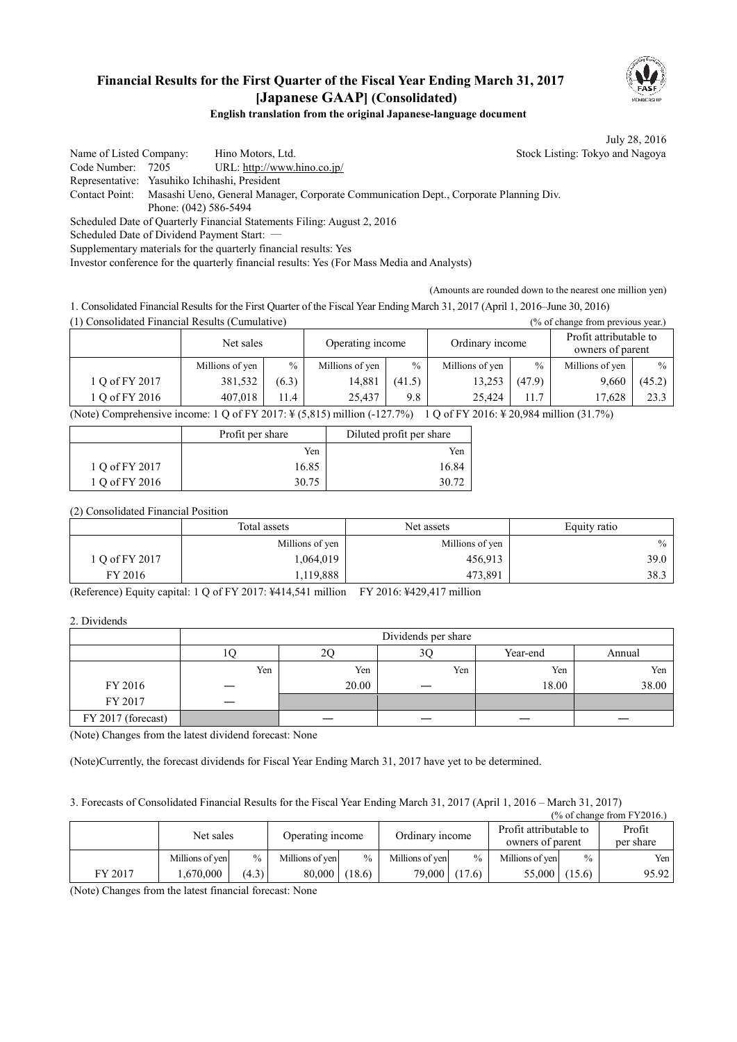

# **Financial Results for the First Quarter of the Fiscal Year Ending March 31, 2017 [Japanese GAAP] (Consolidated)**

**English translation from the original Japanese-language document** 

July 28, 2016

Name of Listed Company: Hino Motors, Ltd. Stock Listing: Tokyo and Nagoya Code Number: 7205 URL: http://www.hino.co.jp/ Representative: Yasuhiko Ichihashi, President Contact Point: Masashi Ueno, General Manager, Corporate Communication Dept., Corporate Planning Div. Phone: (042) 586-5494 Scheduled Date of Quarterly Financial Statements Filing: August 2, 2016 Scheduled Date of Dividend Payment Start: -

Supplementary materials for the quarterly financial results: Yes

Investor conference for the quarterly financial results: Yes (For Mass Media and Analysts)

(Amounts are rounded down to the nearest one million yen)

1. Consolidated Financial Results for the First Quarter of the Fiscal Year Ending March 31, 2017 (April 1, 2016–June 30, 2016)

(1) Consolidated Financial Results (Cumulative) (% of change from previous year.)

|                                                                                                                                                                                                                              | Net sales       |               | Operating income |        | Ordinary income |        | Profit attributable to<br>owners of parent |        |
|------------------------------------------------------------------------------------------------------------------------------------------------------------------------------------------------------------------------------|-----------------|---------------|------------------|--------|-----------------|--------|--------------------------------------------|--------|
|                                                                                                                                                                                                                              | Millions of yen | $\frac{0}{0}$ | Millions of yen  | $\%$   | Millions of yen | $\%$   | Millions of yen                            | $\%$   |
| 1 Q of FY 2017                                                                                                                                                                                                               | 381,532         | (6.3)         | 14.881           | (41.5) | 13.253          | (47.9) | 9.660                                      | (45.2) |
| 1 Q of FY 2016                                                                                                                                                                                                               | 407.018         | 11.4          | 25.437           | 9.8    | 25.424          | 11.7   | 17.628                                     | 23.3   |
| $1.0 \div$ FV 2016, V 20.004 $\ldots$ 11 (21.70/)<br>$N_{\text{min}}$ $C_{\text{sum}}$ $L_{\text{max}}$ is a sum $10.4$ $\text{FW}$ $2017$ , $\text{V}$ $\left(F, 015\right)$ $\text{m}$ $31\text{cm}$ $\left(127.70\right)$ |                 |               |                  |        |                 |        |                                            |        |

(Note) Comprehensive income: 1 Q of FY 2017: ¥ (5,815) million (-127.7%) 1 Q of FY 2016: ¥ 20,984 million (31.7%) ٦

|                | Profit per share | Diluted profit per share |  |
|----------------|------------------|--------------------------|--|
|                | Yen              | Yen                      |  |
| 1 Q of FY 2017 | 16.85            | 16.84                    |  |
| 1 Q of FY 2016 | 30.75            | 30.72                    |  |

(2) Consolidated Financial Position

|                | Total assets<br>Net assets |                 | Equity ratio |
|----------------|----------------------------|-----------------|--------------|
|                | Millions of yen            | Millions of yen | $\%$         |
| 1 O of FY 2017 | 1,064,019                  | 456,913         | 39.0         |
| FY 2016        | 1,119,888                  | 473,891         | 38.3         |

(Reference) Equity capital: 1 Q of FY 2017: ¥414,541 million FY 2016: ¥429,417 million

2. Dividends

|                    | Dividends per share |       |     |          |        |  |
|--------------------|---------------------|-------|-----|----------|--------|--|
|                    |                     | ŽŲ    | 3C  | Year-end | Annual |  |
|                    | Yen                 | Yen   | Yen | Yen      | Yen    |  |
| FY 2016            |                     | 20.00 |     | 18.00    | 38.00  |  |
| FY 2017            |                     |       |     |          |        |  |
| FY 2017 (forecast) |                     |       |     |          |        |  |

(Note) Changes from the latest dividend forecast: None

(Note)Currently, the forecast dividends for Fiscal Year Ending March 31, 2017 have yet to be determined.

3. Forecasts of Consolidated Financial Results for the Fiscal Year Ending March 31, 2017 (April 1, 2016 – March 31, 2017)

| $\frac{9}{6}$ of change from FY2016.) |                 |               |                  |               |                 |               |                                            |               |                     |
|---------------------------------------|-----------------|---------------|------------------|---------------|-----------------|---------------|--------------------------------------------|---------------|---------------------|
|                                       | Net sales       |               | Operating income |               | Ordinary income |               | Profit attributable to<br>owners of parent |               | Profit<br>per share |
|                                       | Millions of yen | $\frac{0}{0}$ | Millions of ven  | $\frac{0}{0}$ | Millions of yen | $\frac{0}{0}$ | Millions of yen                            | $\frac{0}{0}$ | Yen I               |
| FY 2017                               | .670.000        | (4.3)         | 80.000           | (18.6)        | 79,000 (17.6)   |               | 55,000                                     | (15.6)        | 95.92               |

(Note) Changes from the latest financial forecast: None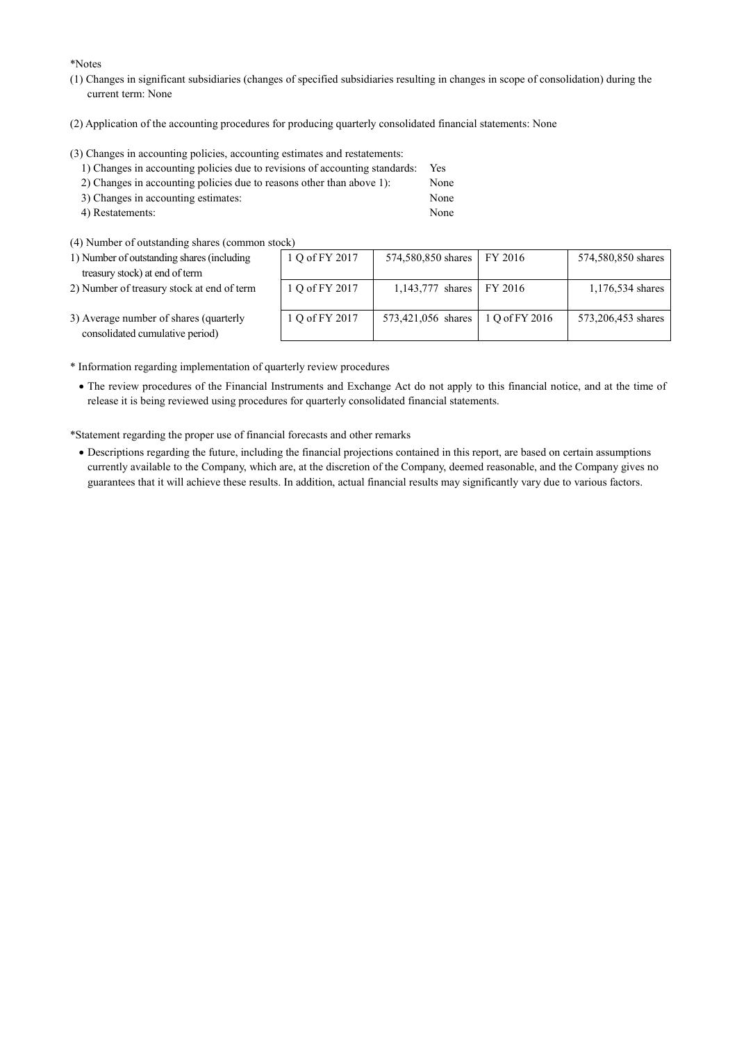\*Notes

- (1) Changes in significant subsidiaries (changes of specified subsidiaries resulting in changes in scope of consolidation) during the current term: None
- (2) Application of the accounting procedures for producing quarterly consolidated financial statements: None

(3) Changes in accounting policies, accounting estimates and restatements:

| 1) Changes in accounting policies due to revisions of accounting standards: | Yes. |
|-----------------------------------------------------------------------------|------|
| 2) Changes in accounting policies due to reasons other than above 1):       | None |
| 3) Changes in accounting estimates:                                         | None |
| 4) Restatements:                                                            | None |

- 
- (4) Number of outstanding shares (common stock)

| 1) Number of outstanding shares (including |  |
|--------------------------------------------|--|
| treasury stock) at end of term             |  |

2) Number of treasury stock at end of term

| ock)           |                    |                |                    |
|----------------|--------------------|----------------|--------------------|
| 1 Q of FY 2017 | 574,580,850 shares | FY 2016        | 574,580,850 shares |
| 1 Q of FY 2017 | 1,143,777 shares   | FY 2016        | 1,176,534 shares   |
| 1 Q of FY 2017 | 573,421,056 shares | 1 Q of FY 2016 | 573,206,453 shares |

3) Average number of shares (quarterly consolidated cumulative period)

\* Information regarding implementation of quarterly review procedures

· The review procedures of the Financial Instruments and Exchange Act do not apply to this financial notice, and at the time of release it is being reviewed using procedures for quarterly consolidated financial statements.

\*Statement regarding the proper use of financial forecasts and other remarks

· Descriptions regarding the future, including the financial projections contained in this report, are based on certain assumptions currently available to the Company, which are, at the discretion of the Company, deemed reasonable, and the Company gives no guarantees that it will achieve these results. In addition, actual financial results may significantly vary due to various factors.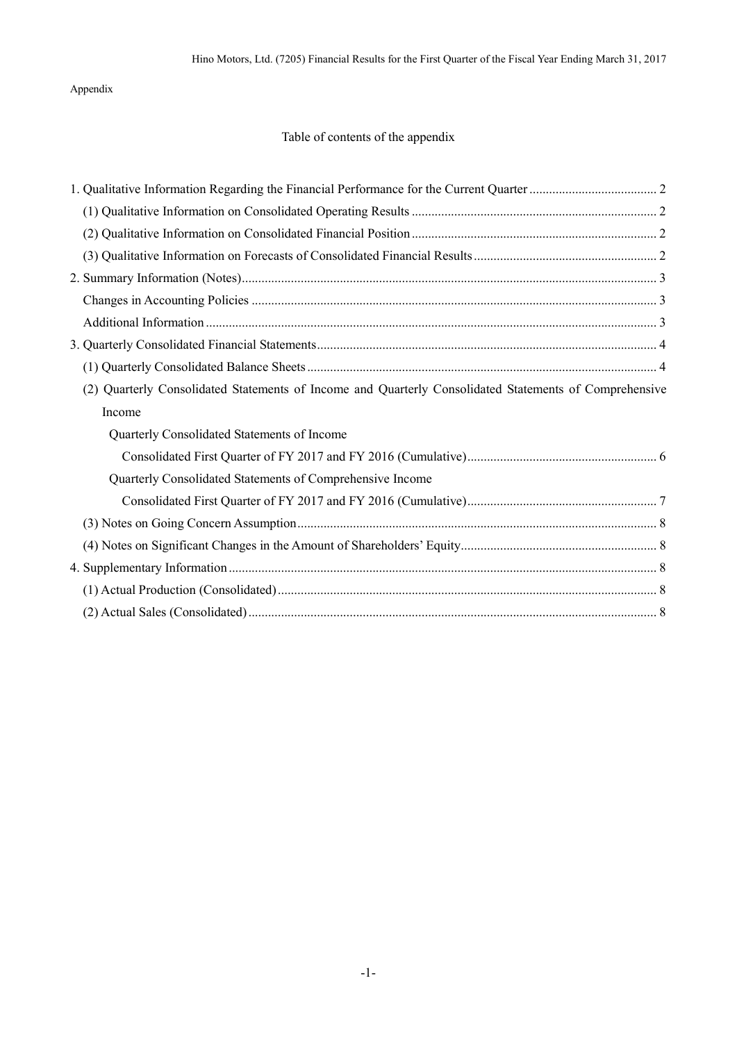## Appendix

# Table of contents of the appendix

| (2) Quarterly Consolidated Statements of Income and Quarterly Consolidated Statements of Comprehensive |  |
|--------------------------------------------------------------------------------------------------------|--|
| Income                                                                                                 |  |
| Quarterly Consolidated Statements of Income                                                            |  |
|                                                                                                        |  |
| Quarterly Consolidated Statements of Comprehensive Income                                              |  |
|                                                                                                        |  |
|                                                                                                        |  |
|                                                                                                        |  |
|                                                                                                        |  |
|                                                                                                        |  |
|                                                                                                        |  |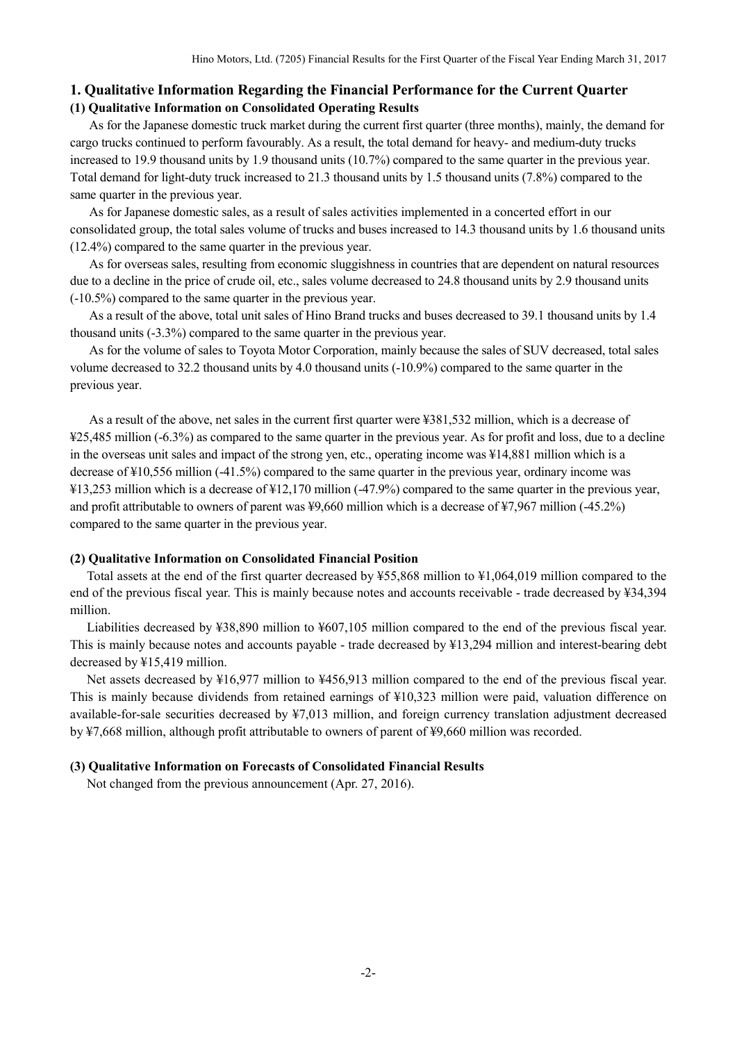### **1. Qualitative Information Regarding the Financial Performance for the Current Quarter (1) Qualitative Information on Consolidated Operating Results**

As for the Japanese domestic truck market during the current first quarter (three months), mainly, the demand for cargo trucks continued to perform favourably. As a result, the total demand for heavy- and medium-duty trucks increased to 19.9 thousand units by 1.9 thousand units (10.7%) compared to the same quarter in the previous year. Total demand for light-duty truck increased to 21.3 thousand units by 1.5 thousand units (7.8%) compared to the same quarter in the previous year.

As for Japanese domestic sales, as a result of sales activities implemented in a concerted effort in our consolidated group, the total sales volume of trucks and buses increased to 14.3 thousand units by 1.6 thousand units (12.4%) compared to the same quarter in the previous year.

As for overseas sales, resulting from economic sluggishness in countries that are dependent on natural resources due to a decline in the price of crude oil, etc., sales volume decreased to 24.8 thousand units by 2.9 thousand units (-10.5%) compared to the same quarter in the previous year.

As a result of the above, total unit sales of Hino Brand trucks and buses decreased to 39.1 thousand units by 1.4 thousand units (-3.3%) compared to the same quarter in the previous year.

As for the volume of sales to Toyota Motor Corporation, mainly because the sales of SUV decreased, total sales volume decreased to 32.2 thousand units by 4.0 thousand units (-10.9%) compared to the same quarter in the previous year.

As a result of the above, net sales in the current first quarter were ¥381,532 million, which is a decrease of ¥25,485 million (-6.3%) as compared to the same quarter in the previous year. As for profit and loss, due to a decline in the overseas unit sales and impact of the strong yen, etc., operating income was ¥14,881 million which is a decrease of ¥10,556 million (-41.5%) compared to the same quarter in the previous year, ordinary income was ¥13,253 million which is a decrease of ¥12,170 million (-47.9%) compared to the same quarter in the previous year, and profit attributable to owners of parent was ¥9,660 million which is a decrease of ¥7,967 million (-45.2%) compared to the same quarter in the previous year.

#### **(2) Qualitative Information on Consolidated Financial Position**

Total assets at the end of the first quarter decreased by ¥55,868 million to ¥1,064,019 million compared to the end of the previous fiscal year. This is mainly because notes and accounts receivable - trade decreased by ¥34,394 million.

Liabilities decreased by ¥38,890 million to ¥607,105 million compared to the end of the previous fiscal year. This is mainly because notes and accounts payable - trade decreased by ¥13,294 million and interest-bearing debt decreased by ¥15,419 million.

Net assets decreased by ¥16,977 million to ¥456,913 million compared to the end of the previous fiscal year. This is mainly because dividends from retained earnings of ¥10,323 million were paid, valuation difference on available-for-sale securities decreased by ¥7,013 million, and foreign currency translation adjustment decreased by ¥7,668 million, although profit attributable to owners of parent of ¥9,660 million was recorded.

#### **(3) Qualitative Information on Forecasts of Consolidated Financial Results**

Not changed from the previous announcement (Apr. 27, 2016).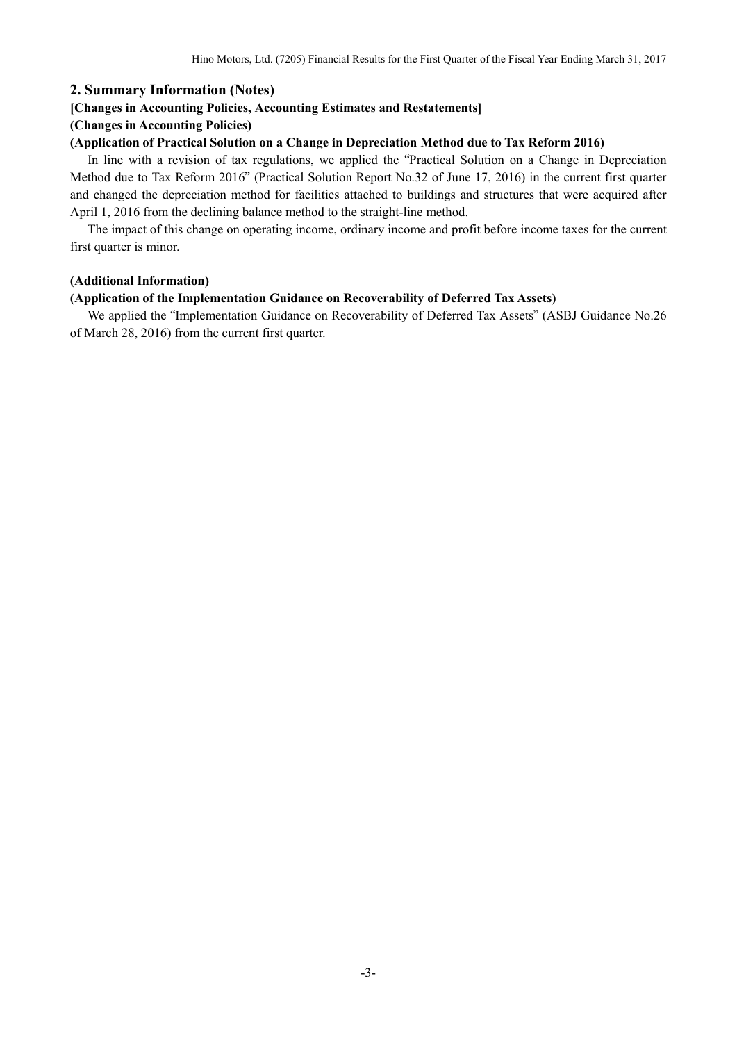### **2. Summary Information (Notes)**

#### **[Changes in Accounting Policies, Accounting Estimates and Restatements]**

#### **(Changes in Accounting Policies)**

#### **(Application of Practical Solution on a Change in Depreciation Method due to Tax Reform 2016)**

In line with a revision of tax regulations, we applied the "Practical Solution on a Change in Depreciation Method due to Tax Reform 2016" (Practical Solution Report No.32 of June 17, 2016) in the current first quarter and changed the depreciation method for facilities attached to buildings and structures that were acquired after April 1, 2016 from the declining balance method to the straight-line method.

The impact of this change on operating income, ordinary income and profit before income taxes for the current first quarter is minor.

#### **(Additional Information)**

#### **(Application of the Implementation Guidance on Recoverability of Deferred Tax Assets)**

We applied the "Implementation Guidance on Recoverability of Deferred Tax Assets" (ASBJ Guidance No.26 of March 28, 2016) from the current first quarter.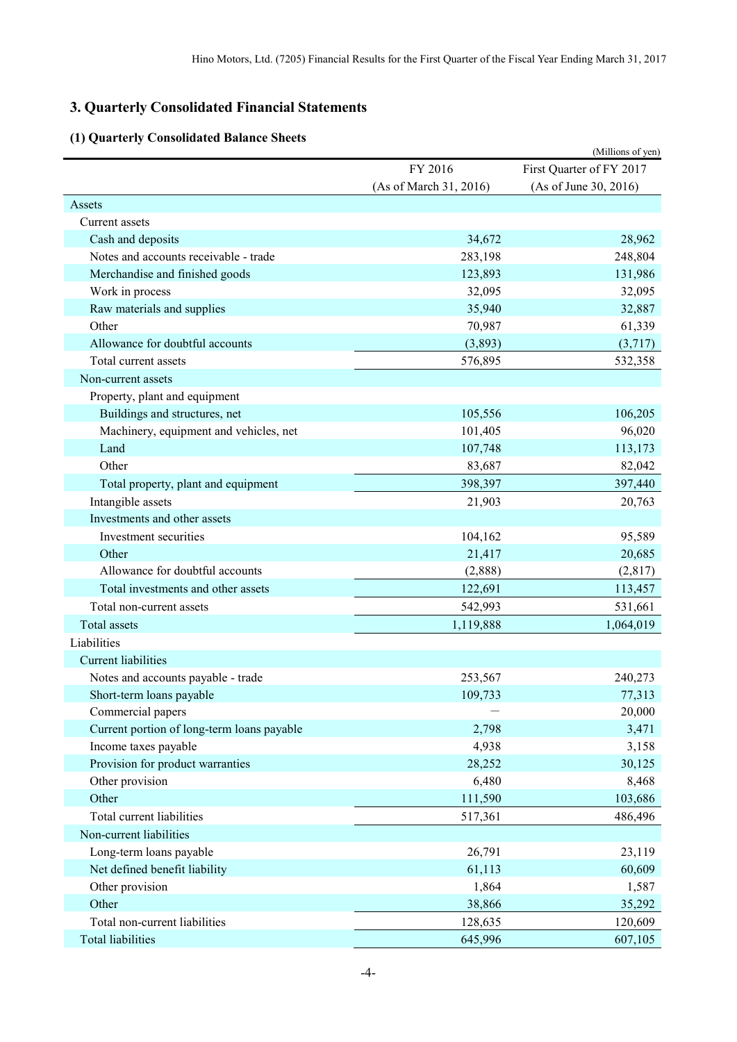# **3. Quarterly Consolidated Financial Statements**

# **(1) Quarterly Consolidated Balance Sheets**

|                                            |                        | (Millions of yen)        |
|--------------------------------------------|------------------------|--------------------------|
|                                            | FY 2016                | First Quarter of FY 2017 |
|                                            | (As of March 31, 2016) | (As of June 30, 2016)    |
| Assets                                     |                        |                          |
| Current assets                             |                        |                          |
| Cash and deposits                          | 34,672                 | 28,962                   |
| Notes and accounts receivable - trade      | 283,198                | 248,804                  |
| Merchandise and finished goods             | 123,893                | 131,986                  |
| Work in process                            | 32,095                 | 32,095                   |
| Raw materials and supplies                 | 35,940                 | 32,887                   |
| Other                                      | 70,987                 | 61,339                   |
| Allowance for doubtful accounts            | (3,893)                | (3,717)                  |
| Total current assets                       | 576,895                | 532,358                  |
| Non-current assets                         |                        |                          |
| Property, plant and equipment              |                        |                          |
| Buildings and structures, net              | 105,556                | 106,205                  |
| Machinery, equipment and vehicles, net     | 101,405                | 96,020                   |
| Land                                       | 107,748                | 113,173                  |
| Other                                      | 83,687                 | 82,042                   |
| Total property, plant and equipment        | 398,397                | 397,440                  |
| Intangible assets                          | 21,903                 | 20,763                   |
| Investments and other assets               |                        |                          |
| Investment securities                      | 104,162                | 95,589                   |
| Other                                      | 21,417                 | 20,685                   |
| Allowance for doubtful accounts            | (2,888)                | (2,817)                  |
| Total investments and other assets         | 122,691                | 113,457                  |
| Total non-current assets                   | 542,993                | 531,661                  |
| <b>Total assets</b>                        | 1,119,888              | 1,064,019                |
| Liabilities                                |                        |                          |
| <b>Current liabilities</b>                 |                        |                          |
| Notes and accounts payable - trade         | 253,567                | 240,273                  |
| Short-term loans payable                   | 109,733                | 77,313                   |
| Commercial papers                          |                        | 20,000                   |
| Current portion of long-term loans payable | 2,798                  | 3,471                    |
| Income taxes payable                       | 4,938                  | 3,158                    |
| Provision for product warranties           | 28,252                 | 30,125                   |
| Other provision                            | 6,480                  | 8,468                    |
| Other                                      | 111,590                | 103,686                  |
| Total current liabilities                  | 517,361                | 486,496                  |
| Non-current liabilities                    |                        |                          |
| Long-term loans payable                    | 26,791                 | 23,119                   |
| Net defined benefit liability              | 61,113                 | 60,609                   |
| Other provision                            | 1,864                  | 1,587                    |
| Other                                      | 38,866                 | 35,292                   |
| Total non-current liabilities              | 128,635                | 120,609                  |
| <b>Total liabilities</b>                   | 645,996                | 607,105                  |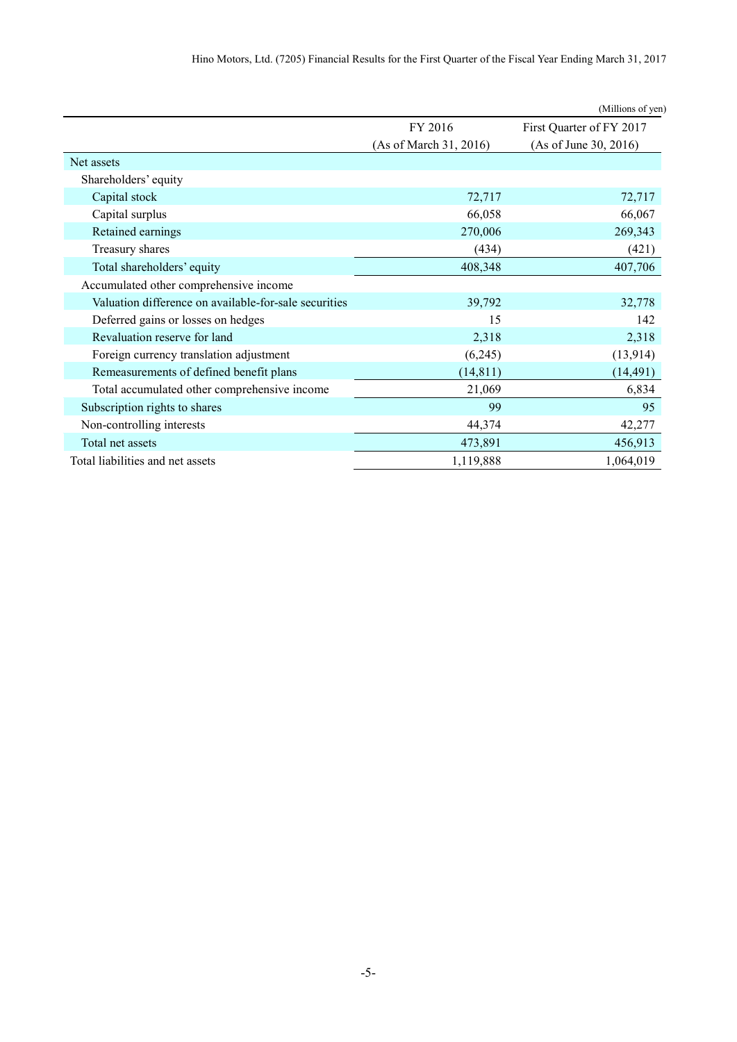|                                                       |                        | (Millions of yen)        |
|-------------------------------------------------------|------------------------|--------------------------|
|                                                       | FY 2016                | First Quarter of FY 2017 |
|                                                       | (As of March 31, 2016) | (As of June 30, 2016)    |
| Net assets                                            |                        |                          |
| Shareholders' equity                                  |                        |                          |
| Capital stock                                         | 72,717                 | 72,717                   |
| Capital surplus                                       | 66,058                 | 66,067                   |
| Retained earnings                                     | 270,006                | 269,343                  |
| Treasury shares                                       | (434)                  | (421)                    |
| Total shareholders' equity                            | 408,348                | 407,706                  |
| Accumulated other comprehensive income                |                        |                          |
| Valuation difference on available-for-sale securities | 39,792                 | 32,778                   |
| Deferred gains or losses on hedges                    | 15                     | 142                      |
| Revaluation reserve for land                          | 2,318                  | 2,318                    |
| Foreign currency translation adjustment               | (6,245)                | (13, 914)                |
| Remeasurements of defined benefit plans               | (14, 811)              | (14, 491)                |
| Total accumulated other comprehensive income          | 21,069                 | 6,834                    |
| Subscription rights to shares                         | 99                     | 95                       |
| Non-controlling interests                             | 44,374                 | 42,277                   |
| Total net assets                                      | 473,891                | 456,913                  |
| Total liabilities and net assets                      | 1,119,888              | 1,064,019                |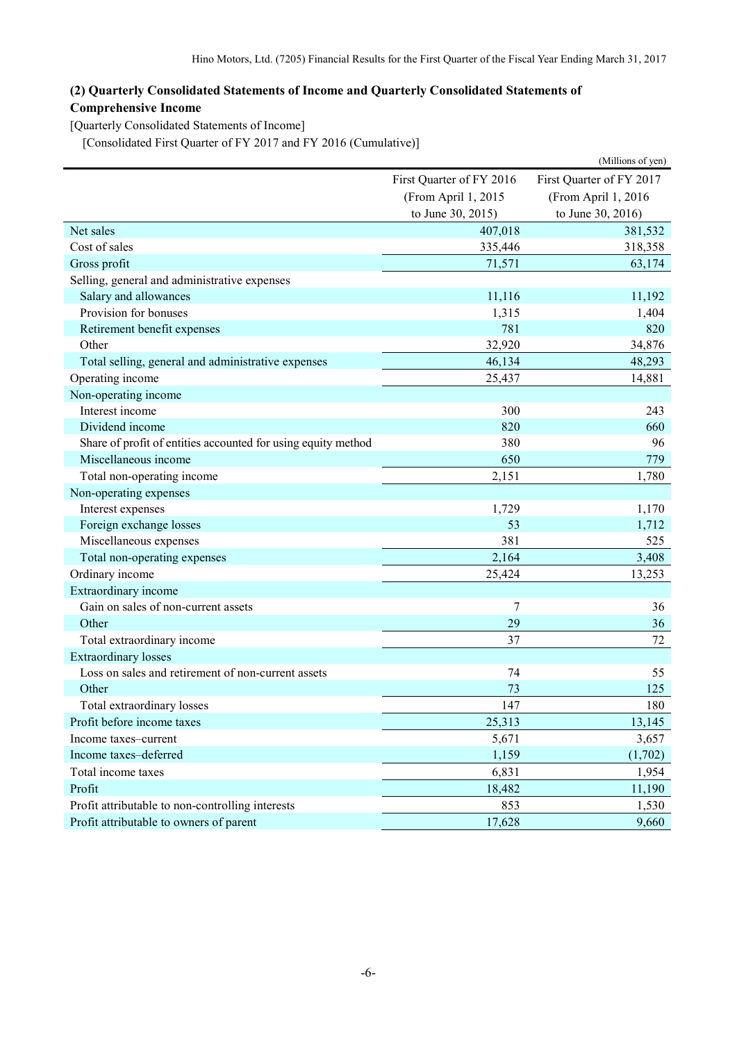# **(2) Quarterly Consolidated Statements of Income and Quarterly Consolidated Statements of Comprehensive Income**

[Quarterly Consolidated Statements of Income]

[Consolidated First Quarter of FY 2017 and FY 2016 (Cumulative)]

|                                                               |                          | (Millions of yen)        |
|---------------------------------------------------------------|--------------------------|--------------------------|
|                                                               | First Quarter of FY 2016 | First Quarter of FY 2017 |
|                                                               | (From April 1, 2015      | (From April 1, 2016      |
|                                                               | to June 30, 2015)        | to June 30, 2016)        |
| Net sales                                                     | 407,018                  | 381,532                  |
| Cost of sales                                                 | 335,446                  | 318,358                  |
| Gross profit                                                  | 71,571                   | 63,174                   |
| Selling, general and administrative expenses                  |                          |                          |
| Salary and allowances                                         | 11,116                   | 11,192                   |
| Provision for bonuses                                         | 1,315                    | 1,404                    |
| Retirement benefit expenses                                   | 781                      | 820                      |
| Other                                                         | 32,920                   | 34,876                   |
| Total selling, general and administrative expenses            | 46,134                   | 48,293                   |
| Operating income                                              | 25,437                   | 14,881                   |
| Non-operating income                                          |                          |                          |
| Interest income                                               | 300                      | 243                      |
| Dividend income                                               | 820                      | 660                      |
| Share of profit of entities accounted for using equity method | 380                      | 96                       |
| Miscellaneous income                                          | 650                      | 779                      |
| Total non-operating income                                    | 2,151                    | 1,780                    |
| Non-operating expenses                                        |                          |                          |
| Interest expenses                                             | 1,729                    | 1,170                    |
| Foreign exchange losses                                       | 53                       | 1,712                    |
| Miscellaneous expenses                                        | 381                      | 525                      |
| Total non-operating expenses                                  | 2,164                    | 3,408                    |
| Ordinary income                                               | 25,424                   | 13,253                   |
| Extraordinary income                                          |                          |                          |
| Gain on sales of non-current assets                           | 7                        | 36                       |
| Other                                                         | 29                       | 36                       |
| Total extraordinary income                                    | 37                       | 72                       |
| <b>Extraordinary losses</b>                                   |                          |                          |
| Loss on sales and retirement of non-current assets            | 74                       | 55                       |
| Other                                                         | 73                       | 125                      |
| Total extraordinary losses                                    | 147                      | 180                      |
| Profit before income taxes                                    | 25,313                   | 13,145                   |
| Income taxes-current                                          | 5,671                    | 3,657                    |
| Income taxes-deferred                                         | 1,159                    | (1,702)                  |
| Total income taxes                                            | 6,831                    | 1,954                    |
| Profit                                                        | 18,482                   | 11,190                   |
| Profit attributable to non-controlling interests              | 853                      | 1,530                    |
| Profit attributable to owners of parent                       | 17,628                   | 9,660                    |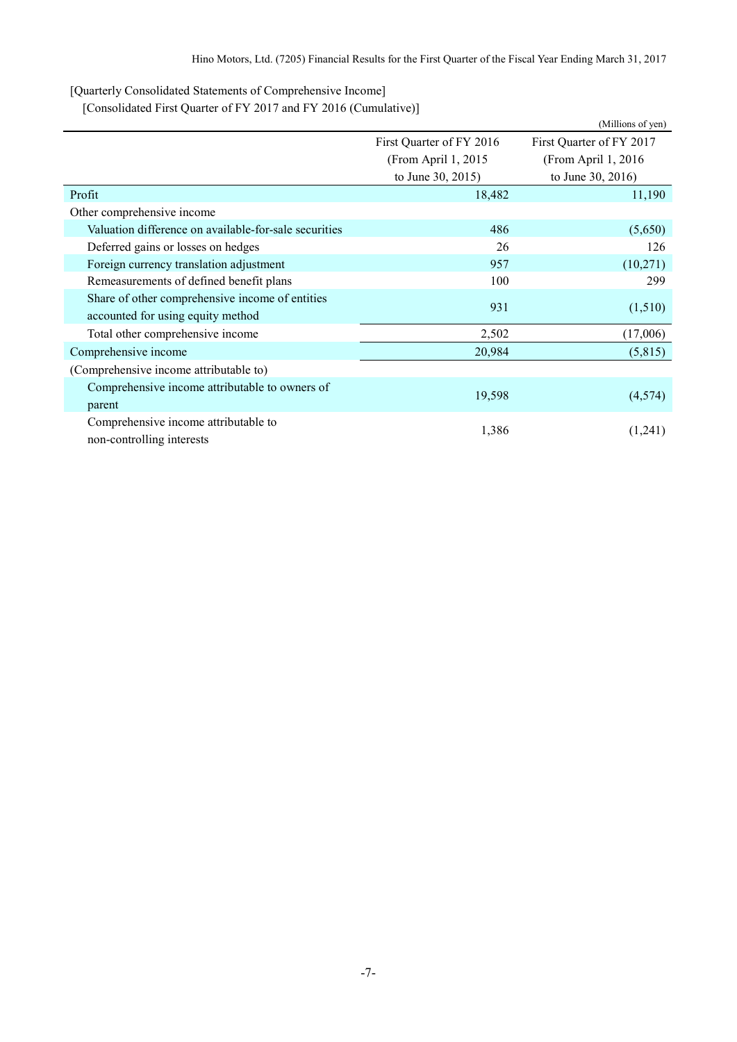[Quarterly Consolidated Statements of Comprehensive Income]

[Consolidated First Quarter of FY 2017 and FY 2016 (Cumulative)]

|                                                                                      |                          | (Millions of yen)        |  |
|--------------------------------------------------------------------------------------|--------------------------|--------------------------|--|
|                                                                                      | First Quarter of FY 2016 | First Quarter of FY 2017 |  |
|                                                                                      | (From April 1, 2015)     | (From April 1, 2016)     |  |
|                                                                                      | to June 30, 2015)        | to June 30, 2016)        |  |
| Profit                                                                               | 18,482                   | 11,190                   |  |
| Other comprehensive income                                                           |                          |                          |  |
| Valuation difference on available-for-sale securities                                | 486                      | (5,650)                  |  |
| Deferred gains or losses on hedges                                                   | 26                       | 126                      |  |
| Foreign currency translation adjustment                                              | 957                      | (10,271)                 |  |
| Remeasurements of defined benefit plans                                              | 100                      | 299                      |  |
| Share of other comprehensive income of entities<br>accounted for using equity method | 931                      | (1,510)                  |  |
| Total other comprehensive income                                                     | 2,502                    | (17,006)                 |  |
| Comprehensive income                                                                 | 20,984                   | (5,815)                  |  |
| (Comprehensive income attributable to)                                               |                          |                          |  |
| Comprehensive income attributable to owners of<br>parent                             | 19,598                   | (4,574)                  |  |
| Comprehensive income attributable to<br>non-controlling interests                    | 1,386                    | (1,241)                  |  |